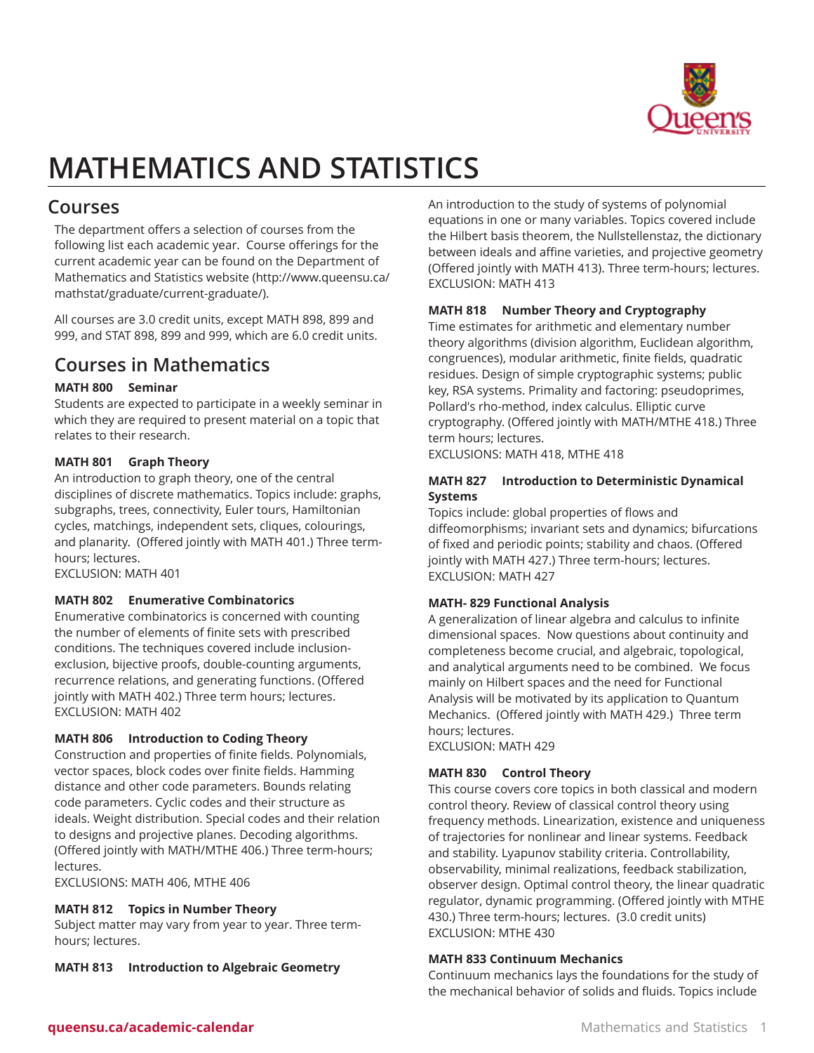

# **MATHEMATICS AND STATISTICS**

# **Courses**

The department offers a selection of courses from the following list each academic year. Course offerings for the current academic year can be found on the [Department of](http://www.queensu.ca/mathstat/graduate/current-graduate/) [Mathematics and Statistics website](http://www.queensu.ca/mathstat/graduate/current-graduate/) [\(http://www.queensu.ca/](http://www.queensu.ca/mathstat/graduate/current-graduate/) [mathstat/graduate/current-graduate/\)](http://www.queensu.ca/mathstat/graduate/current-graduate/).

All courses are 3.0 credit units, except MATH 898, 899 and 999, and STAT 898, 899 and 999, which are 6.0 credit units.

# **Courses in Mathematics**

# **MATH 800 Seminar**

Students are expected to participate in a weekly seminar in which they are required to present material on a topic that relates to their research.

# **MATH 801 Graph Theory**

An introduction to graph theory, one of the central disciplines of discrete mathematics. Topics include: graphs, subgraphs, trees, connectivity, Euler tours, Hamiltonian cycles, matchings, independent sets, cliques, colourings, and planarity. (Offered jointly with MATH 401.) Three termhours; lectures.

EXCLUSION: MATH 401

# **MATH 802 Enumerative Combinatorics**

Enumerative combinatorics is concerned with counting the number of elements of finite sets with prescribed conditions. The techniques covered include inclusionexclusion, bijective proofs, double-counting arguments, recurrence relations, and generating functions. (Offered jointly with MATH 402.) Three term hours; lectures. EXCLUSION: MATH 402

# **MATH 806 Introduction to Coding Theory**

Construction and properties of finite fields. Polynomials, vector spaces, block codes over finite fields. Hamming distance and other code parameters. Bounds relating code parameters. Cyclic codes and their structure as ideals. Weight distribution. Special codes and their relation to designs and projective planes. Decoding algorithms. (Offered jointly with MATH/MTHE 406.) Three term-hours; lectures.

EXCLUSIONS: MATH 406, MTHE 406

# **MATH 812 Topics in Number Theory**

Subject matter may vary from year to year. Three termhours; lectures.

**MATH 813 Introduction to Algebraic Geometry**

An introduction to the study of systems of polynomial equations in one or many variables. Topics covered include the Hilbert basis theorem, the Nullstellenstaz, the dictionary between ideals and affine varieties, and projective geometry (Offered jointly with MATH 413). Three term-hours; lectures. EXCLUSION: MATH 413

# **MATH 818 Number Theory and Cryptography**

Time estimates for arithmetic and elementary number theory algorithms (division algorithm, Euclidean algorithm, congruences), modular arithmetic, finite fields, quadratic residues. Design of simple cryptographic systems; public key, RSA systems. Primality and factoring: pseudoprimes, Pollard's rho-method, index calculus. Elliptic curve cryptography. (Offered jointly with MATH/MTHE 418.) Three term hours; lectures.

EXCLUSIONS: MATH 418, MTHE 418

# **MATH 827 Introduction to Deterministic Dynamical Systems**

Topics include: global properties of flows and diffeomorphisms; invariant sets and dynamics; bifurcations of fixed and periodic points; stability and chaos. (Offered jointly with MATH 427.) Three term-hours; lectures. EXCLUSION: MATH 427

# **MATH- 829 Functional Analysis**

A generalization of linear algebra and calculus to infinite dimensional spaces. Now questions about continuity and completeness become crucial, and algebraic, topological, and analytical arguments need to be combined. We focus mainly on Hilbert spaces and the need for Functional Analysis will be motivated by its application to Quantum Mechanics. (Offered jointly with MATH 429.) Three term hours; lectures. EXCLUSION: MATH 429

# **MATH 830 Control Theory**

This course covers core topics in both classical and modern control theory. Review of classical control theory using frequency methods. Linearization, existence and uniqueness of trajectories for nonlinear and linear systems. Feedback and stability. Lyapunov stability criteria. Controllability, observability, minimal realizations, feedback stabilization, observer design. Optimal control theory, the linear quadratic regulator, dynamic programming. (Offered jointly with MTHE 430.) Three term-hours; lectures. (3.0 credit units) EXCLUSION: MTHE 430

# **MATH 833 Continuum Mechanics**

Continuum mechanics lays the foundations for the study of the mechanical behavior of solids and fluids. Topics include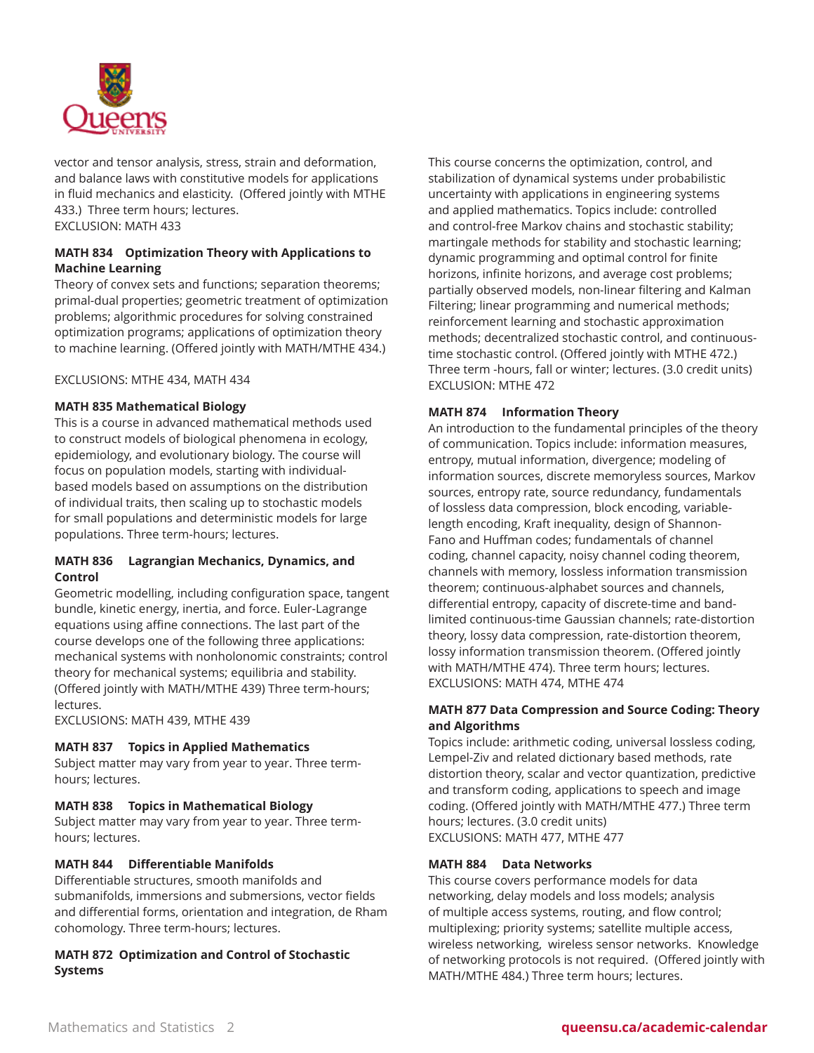

vector and tensor analysis, stress, strain and deformation, and balance laws with constitutive models for applications in fluid mechanics and elasticity. (Offered jointly with MTHE 433.) Three term hours; lectures. EXCLUSION: MATH 433

# **MATH 834 Optimization Theory with Applications to Machine Learning**

Theory of convex sets and functions; separation theorems; primal-dual properties; geometric treatment of optimization problems; algorithmic procedures for solving constrained optimization programs; applications of optimization theory to machine learning. (Offered jointly with MATH/MTHE 434.)

EXCLUSIONS: MTHE 434, MATH 434

#### **MATH 835 Mathematical Biology**

This is a course in advanced mathematical methods used to construct models of biological phenomena in ecology, epidemiology, and evolutionary biology. The course will focus on population models, starting with individualbased models based on assumptions on the distribution of individual traits, then scaling up to stochastic models for small populations and deterministic models for large populations. Three term-hours; lectures.

#### **MATH 836 Lagrangian Mechanics, Dynamics, and Control**

Geometric modelling, including configuration space, tangent bundle, kinetic energy, inertia, and force. Euler-Lagrange equations using affine connections. The last part of the course develops one of the following three applications: mechanical systems with nonholonomic constraints; control theory for mechanical systems; equilibria and stability. (Offered jointly with MATH/MTHE 439) Three term-hours; lectures.

EXCLUSIONS: MATH 439, MTHE 439

#### **MATH 837 Topics in Applied Mathematics**

Subject matter may vary from year to year. Three termhours; lectures.

#### **MATH 838 Topics in Mathematical Biology**

Subject matter may vary from year to year. Three termhours; lectures.

#### **MATH 844 Differentiable Manifolds**

Differentiable structures, smooth manifolds and submanifolds, immersions and submersions, vector fields and differential forms, orientation and integration, de Rham cohomology. Three term-hours; lectures.

# **MATH 872 Optimization and Control of Stochastic Systems**

This course concerns the optimization, control, and stabilization of dynamical systems under probabilistic uncertainty with applications in engineering systems and applied mathematics. Topics include: controlled and control-free Markov chains and stochastic stability; martingale methods for stability and stochastic learning; dynamic programming and optimal control for finite horizons, infinite horizons, and average cost problems; partially observed models, non-linear filtering and Kalman Filtering; linear programming and numerical methods; reinforcement learning and stochastic approximation methods; decentralized stochastic control, and continuoustime stochastic control. (Offered jointly with MTHE 472.) Three term -hours, fall or winter; lectures. (3.0 credit units) EXCLUSION: MTHE 472

# **MATH 874 Information Theory**

An introduction to the fundamental principles of the theory of communication. Topics include: information measures, entropy, mutual information, divergence; modeling of information sources, discrete memoryless sources, Markov sources, entropy rate, source redundancy, fundamentals of lossless data compression, block encoding, variablelength encoding, Kraft inequality, design of Shannon-Fano and Huffman codes; fundamentals of channel coding, channel capacity, noisy channel coding theorem, channels with memory, lossless information transmission theorem; continuous-alphabet sources and channels, differential entropy, capacity of discrete-time and bandlimited continuous-time Gaussian channels; rate-distortion theory, lossy data compression, rate-distortion theorem, lossy information transmission theorem. (Offered jointly with MATH/MTHE 474). Three term hours; lectures. EXCLUSIONS: MATH 474, MTHE 474

# **MATH 877 Data Compression and Source Coding: Theory and Algorithms**

Topics include: arithmetic coding, universal lossless coding, Lempel-Ziv and related dictionary based methods, rate distortion theory, scalar and vector quantization, predictive and transform coding, applications to speech and image coding. (Offered jointly with MATH/MTHE 477.) Three term hours; lectures. (3.0 credit units) EXCLUSIONS: MATH 477, MTHE 477

#### **MATH 884 Data Networks**

This course covers performance models for data networking, delay models and loss models; analysis of multiple access systems, routing, and flow control; multiplexing; priority systems; satellite multiple access, wireless networking, wireless sensor networks. Knowledge of networking protocols is not required. (Offered jointly with MATH/MTHE 484.) Three term hours; lectures.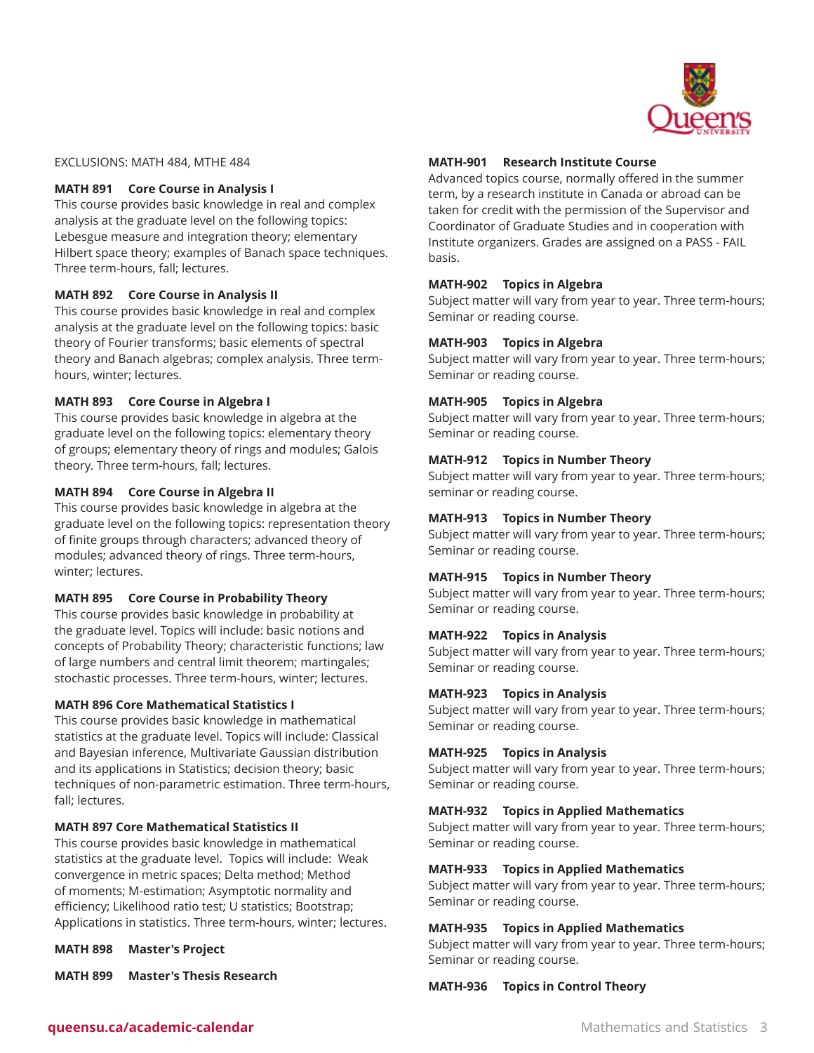

EXCLUSIONS: MATH 484, MTHE 484

#### **MATH 891 Core Course in Analysis I**

This course provides basic knowledge in real and complex analysis at the graduate level on the following topics: Lebesgue measure and integration theory; elementary Hilbert space theory; examples of Banach space techniques. Three term-hours, fall; lectures.

#### **MATH 892 Core Course in Analysis II**

This course provides basic knowledge in real and complex analysis at the graduate level on the following topics: basic theory of Fourier transforms; basic elements of spectral theory and Banach algebras; complex analysis. Three termhours, winter; lectures.

#### **MATH 893 Core Course in Algebra I**

This course provides basic knowledge in algebra at the graduate level on the following topics: elementary theory of groups; elementary theory of rings and modules; Galois theory. Three term-hours, fall; lectures.

#### **MATH 894 Core Course in Algebra II**

This course provides basic knowledge in algebra at the graduate level on the following topics: representation theory of finite groups through characters; advanced theory of modules; advanced theory of rings. Three term-hours, winter; lectures.

#### **MATH 895 Core Course in Probability Theory**

This course provides basic knowledge in probability at the graduate level. Topics will include: basic notions and concepts of Probability Theory; characteristic functions; law of large numbers and central limit theorem; martingales; stochastic processes. Three term-hours, winter; lectures.

#### **MATH 896 Core Mathematical Statistics I**

This course provides basic knowledge in mathematical statistics at the graduate level. Topics will include: Classical and Bayesian inference, Multivariate Gaussian distribution and its applications in Statistics; decision theory; basic techniques of non-parametric estimation. Three term-hours, fall; lectures.

#### **MATH 897 Core Mathematical Statistics II**

This course provides basic knowledge in mathematical statistics at the graduate level. Topics will include: Weak convergence in metric spaces; Delta method; Method of moments; M-estimation; Asymptotic normality and efficiency; Likelihood ratio test; U statistics; Bootstrap; Applications in statistics. Three term-hours, winter; lectures.

**MATH 898 Master's Project**

**MATH 899 Master's Thesis Research**

#### **MATH-901 Research Institute Course**

Advanced topics course, normally offered in the summer term, by a research institute in Canada or abroad can be taken for credit with the permission of the Supervisor and Coordinator of Graduate Studies and in cooperation with Institute organizers. Grades are assigned on a PASS - FAIL basis.

#### **MATH-902 Topics in Algebra**

Subject matter will vary from year to year. Three term-hours; Seminar or reading course.

#### **MATH-903 Topics in Algebra**

Subject matter will vary from year to year. Three term-hours; Seminar or reading course.

#### **MATH-905 Topics in Algebra**

Subject matter will vary from year to year. Three term-hours; Seminar or reading course.

#### **MATH-912 Topics in Number Theory**

Subject matter will vary from year to year. Three term-hours; seminar or reading course.

#### **MATH-913 Topics in Number Theory**

Subject matter will vary from year to year. Three term-hours; Seminar or reading course.

#### **MATH-915 Topics in Number Theory**

Subject matter will vary from year to year. Three term-hours; Seminar or reading course.

# **MATH-922 Topics in Analysis**

Subject matter will vary from year to year. Three term-hours; Seminar or reading course.

#### **MATH-923 Topics in Analysis**

Subject matter will vary from year to year. Three term-hours; Seminar or reading course.

#### **MATH-925 Topics in Analysis**

Subject matter will vary from year to year. Three term-hours; Seminar or reading course.

#### **MATH-932 Topics in Applied Mathematics**

Subject matter will vary from year to year. Three term-hours; Seminar or reading course.

#### **MATH-933 Topics in Applied Mathematics**

Subject matter will vary from year to year. Three term-hours; Seminar or reading course.

#### **MATH-935 Topics in Applied Mathematics**

Subject matter will vary from year to year. Three term-hours; Seminar or reading course.

**MATH-936 Topics in Control Theory**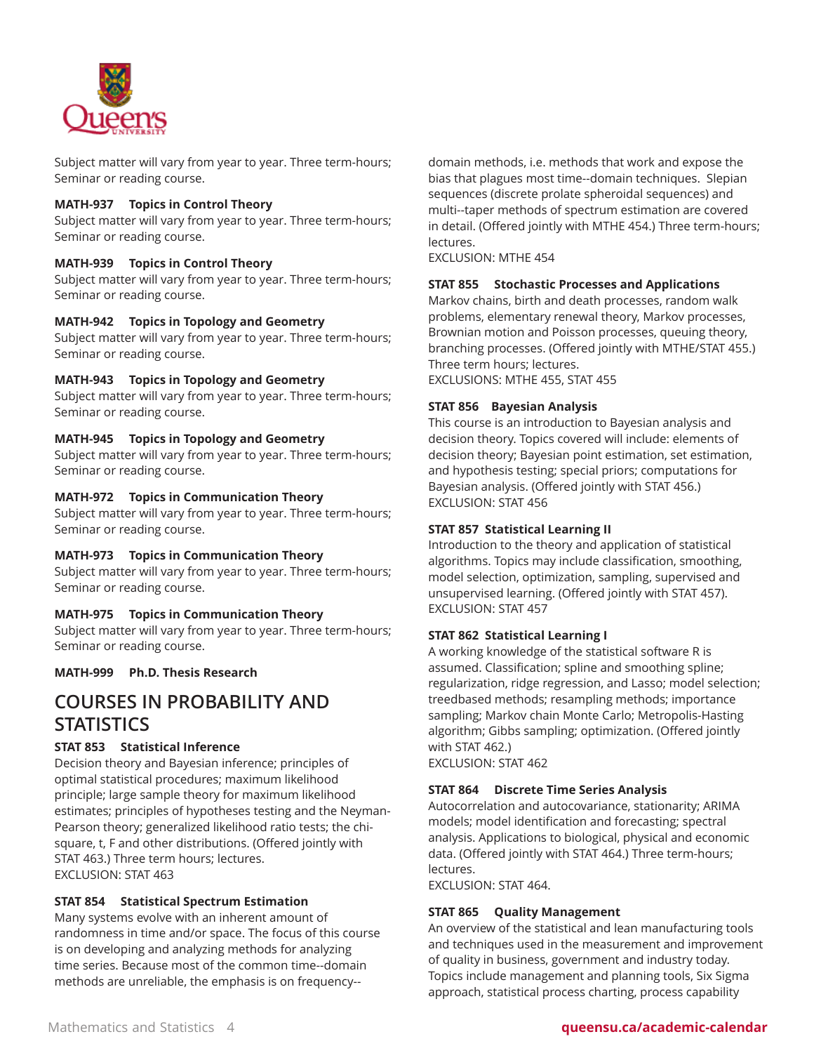

Subject matter will vary from year to year. Three term-hours; Seminar or reading course.

#### **MATH-937 Topics in Control Theory**

Subject matter will vary from year to year. Three term-hours; Seminar or reading course.

#### **MATH-939 Topics in Control Theory**

Subject matter will vary from year to year. Three term-hours; Seminar or reading course.

#### **MATH-942 Topics in Topology and Geometry**

Subject matter will vary from year to year. Three term-hours; Seminar or reading course.

# **MATH-943 Topics in Topology and Geometry**

Subject matter will vary from year to year. Three term-hours; Seminar or reading course.

#### **MATH-945 Topics in Topology and Geometry**

Subject matter will vary from year to year. Three term-hours; Seminar or reading course.

#### **MATH-972 Topics in Communication Theory**

Subject matter will vary from year to year. Three term-hours; Seminar or reading course.

#### **MATH-973 Topics in Communication Theory**

Subject matter will vary from year to year. Three term-hours; Seminar or reading course.

#### **MATH-975 Topics in Communication Theory**

Subject matter will vary from year to year. Three term-hours; Seminar or reading course.

**MATH-999 Ph.D. Thesis Research**

# **COURSES IN PROBABILITY AND STATISTICS**

#### **STAT 853 Statistical Inference**

Decision theory and Bayesian inference; principles of optimal statistical procedures; maximum likelihood principle; large sample theory for maximum likelihood estimates; principles of hypotheses testing and the Neyman-Pearson theory; generalized likelihood ratio tests; the chisquare, t, F and other distributions. (Offered jointly with STAT 463.) Three term hours; lectures. EXCLUSION: STAT 463

#### **STAT 854 Statistical Spectrum Estimation**

Many systems evolve with an inherent amount of randomness in time and/or space. The focus of this course is on developing and analyzing methods for analyzing time series. Because most of the common time--domain methods are unreliable, the emphasis is on frequency--

domain methods, i.e. methods that work and expose the bias that plagues most time--domain techniques. Slepian sequences (discrete prolate spheroidal sequences) and multi--taper methods of spectrum estimation are covered in detail. (Offered jointly with MTHE 454.) Three term-hours; lectures.

EXCLUSION: MTHE 454

#### **STAT 855 Stochastic Processes and Applications**

Markov chains, birth and death processes, random walk problems, elementary renewal theory, Markov processes, Brownian motion and Poisson processes, queuing theory, branching processes. (Offered jointly with MTHE/STAT 455.) Three term hours; lectures. EXCLUSIONS: MTHE 455, STAT 455

#### **STAT 856 Bayesian Analysis**

This course is an introduction to Bayesian analysis and decision theory. Topics covered will include: elements of decision theory; Bayesian point estimation, set estimation, and hypothesis testing; special priors; computations for Bayesian analysis. (Offered jointly with STAT 456.) EXCLUSION: STAT 456

#### **STAT 857 Statistical Learning II**

Introduction to the theory and application of statistical algorithms. Topics may include classification, smoothing, model selection, optimization, sampling, supervised and unsupervised learning. (Offered jointly with STAT 457). EXCLUSION: STAT 457

#### **STAT 862 Statistical Learning I**

A working knowledge of the statistical software R is assumed. Classification; spline and smoothing spline; regularization, ridge regression, and Lasso; model selection; treedbased methods; resampling methods; importance sampling; Markov chain Monte Carlo; Metropolis-Hasting algorithm; Gibbs sampling; optimization. (Offered jointly with STAT 462.)

EXCLUSION: STAT 462

#### **STAT 864 Discrete Time Series Analysis**

Autocorrelation and autocovariance, stationarity; ARIMA models; model identification and forecasting; spectral analysis. Applications to biological, physical and economic data. (Offered jointly with STAT 464.) Three term-hours; lectures.

EXCLUSION: STAT 464.

#### **STAT 865 Quality Management**

An overview of the statistical and lean manufacturing tools and techniques used in the measurement and improvement of quality in business, government and industry today. Topics include management and planning tools, Six Sigma approach, statistical process charting, process capability

#### Mathematics and Statistics 4 **queensu.ca/academic-calendar**